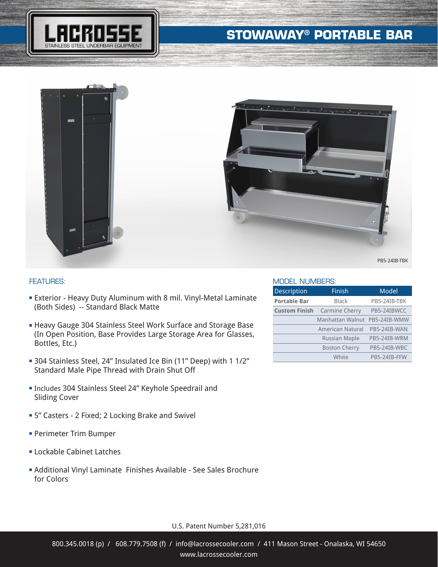## **STOWAWAY® PORTABLE BAR**







## FEATURES:

- **Exterior Heavy Duty Aluminum with 8 mil. Vinyl-Metal Laminate** (Both Sides) -- Standard Black Matte
- **Heavy Gauge 304 Stainless Steel Work Surface and Storage Base** (In Open Position, Base Provides Large Storage Area for Glasses, Bottles, Etc.)
- <sup>n</sup> 304 Stainless Steel, 24" Insulated Ice Bin (11" Deep) with 1 1/2" Standard Male Pipe Thread with Drain Shut Off
- <sup>n</sup> Includes 304 Stainless Steel 24" Keyhole Speedrail and Sliding Cover
- **= 5"** Casters 2 Fixed; 2 Locking Brake and Swivel
- **Perimeter Trim Bumper**
- **ELockable Cabinet Latches**
- **Additional Vinyl Laminate Finishes Available See Sales Brochure** for Colors

PB5-24IB-TBK

## MODEL NUMBERS:

| <b>Description</b>   | Finish                  | Model        |
|----------------------|-------------------------|--------------|
| <b>Portable Bar</b>  | <b>Black</b>            | PB5-24IB-TBK |
| <b>Custom Finish</b> | Carmine Cherry          | PB5-24IBWCC  |
|                      | Manhattan Walnut        | PB5-24IB-WMW |
|                      | <b>American Natural</b> | PB5-24IB-WAN |
|                      | <b>Russian Maple</b>    | PB5-24IB-WRM |
|                      | <b>Boston Cherry</b>    | PB5-24IB-WBC |
|                      | White                   | PB5-24IB-FFW |

U.S. Patent Number 5,281,016